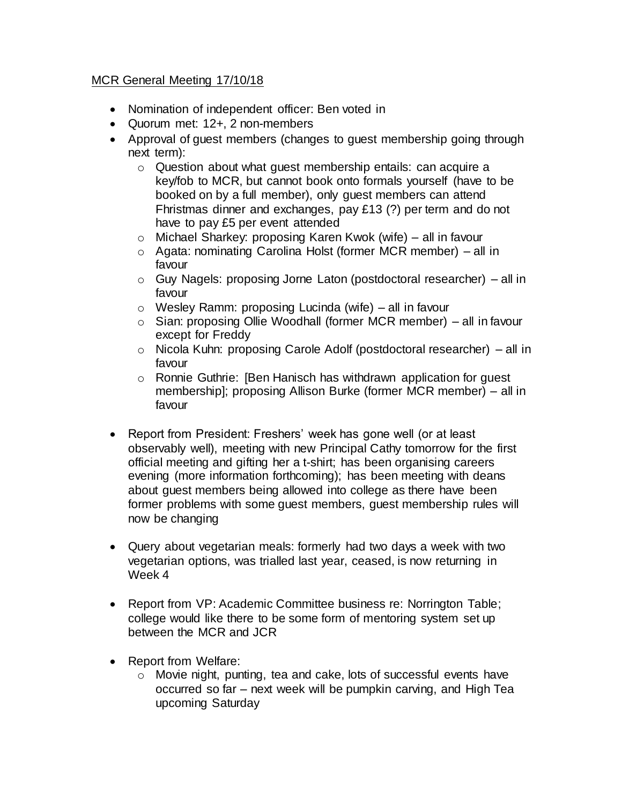## MCR General Meeting 17/10/18

- Nomination of independent officer: Ben voted in
- Quorum met: 12+, 2 non-members
- Approval of guest members (changes to guest membership going through next term):
	- o Question about what guest membership entails: can acquire a key/fob to MCR, but cannot book onto formals yourself (have to be booked on by a full member), only guest members can attend Fhristmas dinner and exchanges, pay £13 (?) per term and do not have to pay £5 per event attended
	- o Michael Sharkey: proposing Karen Kwok (wife) all in favour
	- o Agata: nominating Carolina Holst (former MCR member) all in favour
	- o Guy Nagels: proposing Jorne Laton (postdoctoral researcher) all in favour
	- o Wesley Ramm: proposing Lucinda (wife) all in favour
	- o Sian: proposing Ollie Woodhall (former MCR member) all in favour except for Freddy
	- o Nicola Kuhn: proposing Carole Adolf (postdoctoral researcher) all in favour
	- o Ronnie Guthrie: [Ben Hanisch has withdrawn application for guest membership]; proposing Allison Burke (former MCR member) – all in favour
- Report from President: Freshers' week has gone well (or at least observably well), meeting with new Principal Cathy tomorrow for the first official meeting and gifting her a t-shirt; has been organising careers evening (more information forthcoming); has been meeting with deans about guest members being allowed into college as there have been former problems with some guest members, guest membership rules will now be changing
- Query about vegetarian meals: formerly had two days a week with two vegetarian options, was trialled last year, ceased, is now returning in Week 4
- Report from VP: Academic Committee business re: Norrington Table; college would like there to be some form of mentoring system set up between the MCR and JCR
- Report from Welfare:
	- o Movie night, punting, tea and cake, lots of successful events have occurred so far – next week will be pumpkin carving, and High Tea upcoming Saturday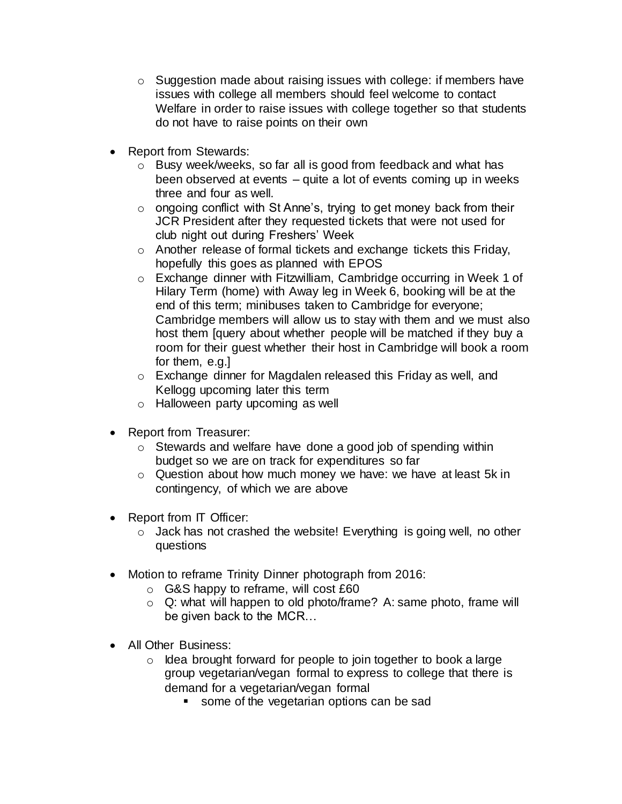- $\circ$  Suggestion made about raising issues with college: if members have issues with college all members should feel welcome to contact Welfare in order to raise issues with college together so that students do not have to raise points on their own
- Report from Stewards:
	- o Busy week/weeks, so far all is good from feedback and what has been observed at events – quite a lot of events coming up in weeks three and four as well.
	- o ongoing conflict with St Anne's, trying to get money back from their JCR President after they requested tickets that were not used for club night out during Freshers' Week
	- o Another release of formal tickets and exchange tickets this Friday, hopefully this goes as planned with EPOS
	- o Exchange dinner with Fitzwilliam, Cambridge occurring in Week 1 of Hilary Term (home) with Away leg in Week 6, booking will be at the end of this term; minibuses taken to Cambridge for everyone; Cambridge members will allow us to stay with them and we must also host them [query about whether people will be matched if they buy a room for their guest whether their host in Cambridge will book a room for them, e.g.]
	- o Exchange dinner for Magdalen released this Friday as well, and Kellogg upcoming later this term
	- o Halloween party upcoming as well
- Report from Treasurer:
	- o Stewards and welfare have done a good job of spending within budget so we are on track for expenditures so far
	- o Question about how much money we have: we have at least 5k in contingency, of which we are above
- Report from IT Officer:
	- o Jack has not crashed the website! Everything is going well, no other questions
- Motion to reframe Trinity Dinner photograph from 2016:
	- o G&S happy to reframe, will cost £60
	- o Q: what will happen to old photo/frame? A: same photo, frame will be given back to the MCR…
- All Other Business:
	- $\circ$  Idea brought forward for people to join together to book a large group vegetarian/vegan formal to express to college that there is demand for a vegetarian/vegan formal
		- some of the vegetarian options can be sad